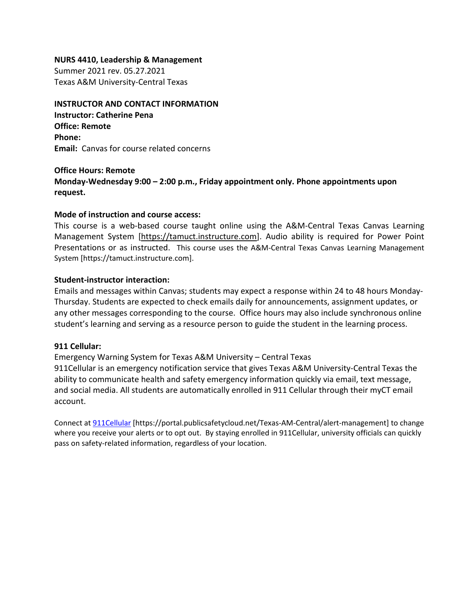#### **NURS 4410, Leadership & Management**

Summer 2021 rev. 05.27.2021 Texas A&M University-Central Texas

## **INSTRUCTOR AND CONTACT INFORMATION**

**Instructor: Catherine Pena Office: Remote Phone: Email:** Canvas for course related concerns

#### **Office Hours: Remote**

**Monday-Wednesday 9:00 – 2:00 p.m., Friday appointment only. Phone appointments upon request.**

#### **Mode of instruction and course access:**

This course is a web-based course taught online using the A&M-Central Texas Canvas Learning Management System [\[https://tamuct.instructure.com\]](https://tamuct.instructure.com/). Audio ability is required for Power Point Presentations or as instructed. This course uses the A&M-Central Texas Canvas Learning Management System [https://tamuct.instructure.com].

#### **Student-instructor interaction:**

Emails and messages within Canvas; students may expect a response within 24 to 48 hours Monday-Thursday. Students are expected to check emails daily for announcements, assignment updates, or any other messages corresponding to the course. Office hours may also include synchronous online student's learning and serving as a resource person to guide the student in the learning process.

#### **911 Cellular:**

Emergency Warning System for Texas A&M University – Central Texas 911Cellular is an emergency notification service that gives Texas A&M University-Central Texas the ability to communicate health and safety emergency information quickly via email, text message, and social media. All students are automatically enrolled in 911 Cellular through their myCT email account.

Connect at [911Cellular](https://portal.publicsafetycloud.net/Texas-AM-Central/alert-management) [https://portal.publicsafetycloud.net/Texas-AM-Central/alert-management] to change where you receive your alerts or to opt out. By staying enrolled in 911Cellular, university officials can quickly pass on safety-related information, regardless of your location.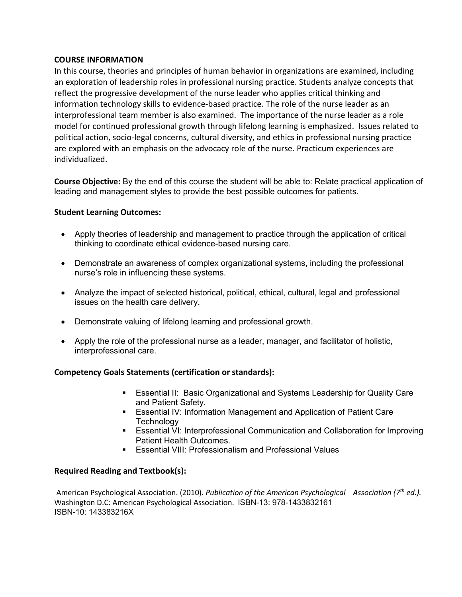#### **COURSE INFORMATION**

In this course, theories and principles of human behavior in organizations are examined, including an exploration of leadership roles in professional nursing practice. Students analyze concepts that reflect the progressive development of the nurse leader who applies critical thinking and information technology skills to evidence-based practice. The role of the nurse leader as an interprofessional team member is also examined. The importance of the nurse leader as a role model for continued professional growth through lifelong learning is emphasized. Issues related to political action, socio-legal concerns, cultural diversity, and ethics in professional nursing practice are explored with an emphasis on the advocacy role of the nurse. Practicum experiences are individualized.

**Course Objective:** By the end of this course the student will be able to: Relate practical application of leading and management styles to provide the best possible outcomes for patients.

#### **Student Learning Outcomes:**

- Apply theories of leadership and management to practice through the application of critical thinking to coordinate ethical evidence-based nursing care.
- Demonstrate an awareness of complex organizational systems, including the professional nurse's role in influencing these systems.
- Analyze the impact of selected historical, political, ethical, cultural, legal and professional issues on the health care delivery.
- Demonstrate valuing of lifelong learning and professional growth.
- Apply the role of the professional nurse as a leader, manager, and facilitator of holistic, interprofessional care.

#### **Competency Goals Statements (certification or standards):**

- Essential II: Basic Organizational and Systems Leadership for Quality Care and Patient Safety.
- Essential IV: Information Management and Application of Patient Care **Technology**
- Essential VI: Interprofessional Communication and Collaboration for Improving Patient Health Outcomes.
- Essential VIII: Professionalism and Professional Values

#### **Required Reading and Textbook(s):**

American Psychological Association. (2010). *Publication of the American Psychological Association (7th ed.).*  Washington D.C: American Psychological Association. ISBN-13: 978-1433832161 ISBN-10: 143383216X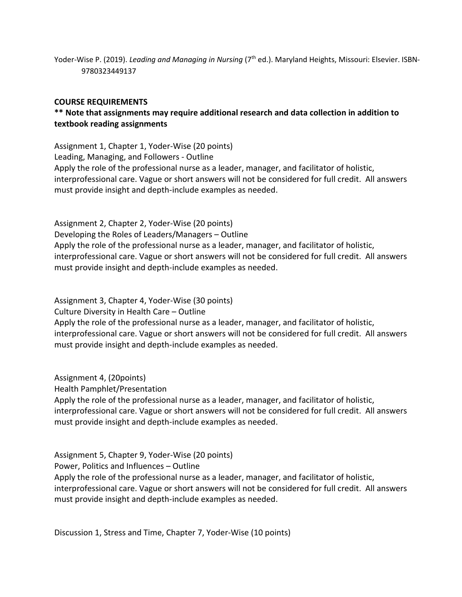Yoder-Wise P. (2019). *Leading and Managing in Nursing* (7<sup>th</sup> ed.). Maryland Heights, Missouri: Elsevier. ISBN-9780323449137

#### **COURSE REQUIREMENTS**

# **\*\* Note that assignments may require additional research and data collection in addition to textbook reading assignments**

Assignment 1, Chapter 1, Yoder-Wise (20 points) Leading, Managing, and Followers - Outline Apply the role of the professional nurse as a leader, manager, and facilitator of holistic, interprofessional care. Vague or short answers will not be considered for full credit. All answers must provide insight and depth-include examples as needed.

Assignment 2, Chapter 2, Yoder-Wise (20 points) Developing the Roles of Leaders/Managers – Outline Apply the role of the professional nurse as a leader, manager, and facilitator of holistic, interprofessional care. Vague or short answers will not be considered for full credit. All answers must provide insight and depth-include examples as needed.

Assignment 3, Chapter 4, Yoder-Wise (30 points) Culture Diversity in Health Care – Outline Apply the role of the professional nurse as a leader, manager, and facilitator of holistic, interprofessional care. Vague or short answers will not be considered for full credit. All answers must provide insight and depth-include examples as needed.

Assignment 4, (20points) Health Pamphlet/Presentation Apply the role of the professional nurse as a leader, manager, and facilitator of holistic, interprofessional care. Vague or short answers will not be considered for full credit. All answers must provide insight and depth-include examples as needed.

Assignment 5, Chapter 9, Yoder-Wise (20 points) Power, Politics and Influences – Outline Apply the role of the professional nurse as a leader, manager, and facilitator of holistic, interprofessional care. Vague or short answers will not be considered for full credit. All answers must provide insight and depth-include examples as needed.

Discussion 1, Stress and Time, Chapter 7, Yoder-Wise (10 points)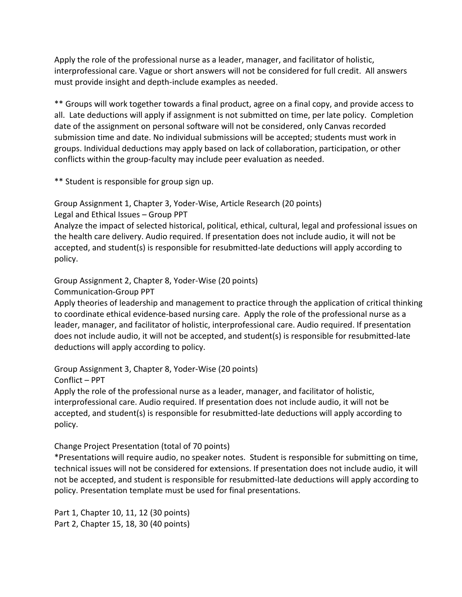Apply the role of the professional nurse as a leader, manager, and facilitator of holistic, interprofessional care. Vague or short answers will not be considered for full credit. All answers must provide insight and depth-include examples as needed.

\*\* Groups will work together towards a final product, agree on a final copy, and provide access to all. Late deductions will apply if assignment is not submitted on time, per late policy. Completion date of the assignment on personal software will not be considered, only Canvas recorded submission time and date. No individual submissions will be accepted; students must work in groups. Individual deductions may apply based on lack of collaboration, participation, or other conflicts within the group-faculty may include peer evaluation as needed.

\*\* Student is responsible for group sign up.

Group Assignment 1, Chapter 3, Yoder-Wise, Article Research (20 points)

Legal and Ethical Issues – Group PPT

Analyze the impact of selected historical, political, ethical, cultural, legal and professional issues on the health care delivery. Audio required. If presentation does not include audio, it will not be accepted, and student(s) is responsible for resubmitted-late deductions will apply according to policy.

Group Assignment 2, Chapter 8, Yoder-Wise (20 points)

Communication-Group PPT

Apply theories of leadership and management to practice through the application of critical thinking to coordinate ethical evidence-based nursing care. Apply the role of the professional nurse as a leader, manager, and facilitator of holistic, interprofessional care. Audio required. If presentation does not include audio, it will not be accepted, and student(s) is responsible for resubmitted-late deductions will apply according to policy.

Group Assignment 3, Chapter 8, Yoder-Wise (20 points)

Conflict – PPT

Apply the role of the professional nurse as a leader, manager, and facilitator of holistic, interprofessional care. Audio required. If presentation does not include audio, it will not be accepted, and student(s) is responsible for resubmitted-late deductions will apply according to policy.

Change Project Presentation (total of 70 points)

\*Presentations will require audio, no speaker notes. Student is responsible for submitting on time, technical issues will not be considered for extensions. If presentation does not include audio, it will not be accepted, and student is responsible for resubmitted-late deductions will apply according to policy. Presentation template must be used for final presentations.

Part 1, Chapter 10, 11, 12 (30 points) Part 2, Chapter 15, 18, 30 (40 points)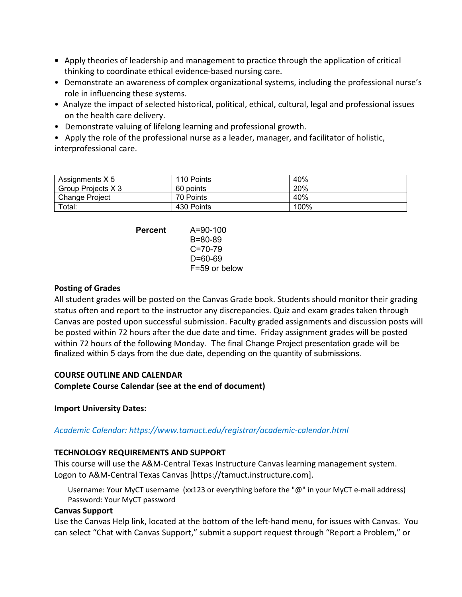- **•** Apply theories of leadership and management to practice through the application of critical  thinking to coordinate ethical evidence-based nursing care.
- Demonstrate an awareness of complex organizational systems, including the professional nurse's role in influencing these systems.
- Analyze the impact of selected historical, political, ethical, cultural, legal and professional issues on the health care delivery.
- Demonstrate valuing of lifelong learning and professional growth.

• Apply the role of the professional nurse as a leader, manager, and facilitator of holistic, interprofessional care.

| Assignments X 5       | 110 Points | 40%  |
|-----------------------|------------|------|
| Group Projects X 3    | 60 points  | 20%  |
| <b>Change Project</b> | 70 Points  | 40%  |
| Total:                | 430 Points | 100% |

| Percent | $A = 90 - 100$ |
|---------|----------------|
|         | B=80-89        |
|         | $C = 70 - 79$  |
|         | D=60-69        |
|         | F=59 or below  |

## **Posting of Grades**

All student grades will be posted on the Canvas Grade book. Students should monitor their grading status often and report to the instructor any discrepancies. Quiz and exam grades taken through Canvas are posted upon successful submission. Faculty graded assignments and discussion posts will be posted within 72 hours after the due date and time. Friday assignment grades will be posted within 72 hours of the following Monday. The final Change Project presentation grade will be finalized within 5 days from the due date, depending on the quantity of submissions.

# **COURSE OUTLINE AND CALENDAR**

**Complete Course Calendar (see at the end of document)**

# **Import University Dates:**

# *Academic Calendar: https://www.tamuct.edu/registrar/academic-calendar.html*

# **TECHNOLOGY REQUIREMENTS AND SUPPORT**

This course will use the A&M-Central Texas Instructure Canvas learning management system. Logon to A&M-Central Texas Canvas [https://tamuct.instructure.com].

Username: Your MyCT username (xx123 or everything before the "@" in your MyCT e-mail address) Password: Your MyCT password

#### **Canvas Support**

Use the Canvas Help link, located at the bottom of the left-hand menu, for issues with Canvas. You can select "Chat with Canvas Support," submit a support request through "Report a Problem," or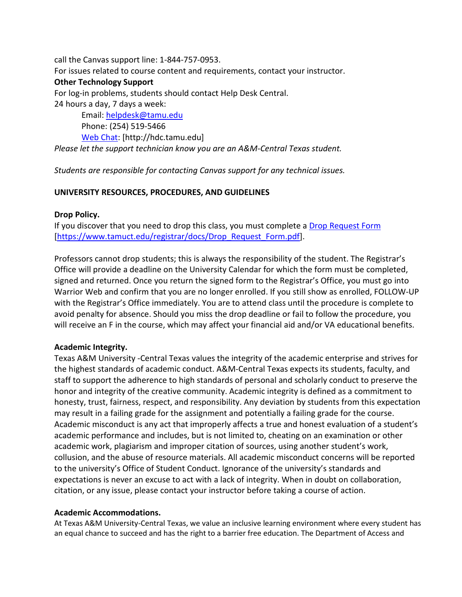call the Canvas support line: 1-844-757-0953. For issues related to course content and requirements, contact your instructor. **Other Technology Support** For log-in problems, students should contact Help Desk Central. 24 hours a day, 7 days a week: Email: [helpdesk@tamu.edu](mailto:helpdesk@tamu.edu) Phone: (254) 519-5466

[Web Chat:](http://hdc.tamu.edu/) [http://hdc.tamu.edu] *Please let the support technician know you are an A&M-Central Texas student.*

*Students are responsible for contacting Canvas support for any technical issues.* 

#### **UNIVERSITY RESOURCES, PROCEDURES, AND GUIDELINES**

#### **Drop Policy.**

If you discover that you need to drop this class, you must complete a [Drop Request Form](https://www.tamuct.edu/registrar/docs/Drop_Request_Form.pdf) [\[https://www.tamuct.edu/registrar/docs/Drop\\_Request\\_Form.pdf\]](https://www.tamuct.edu/registrar/docs/Drop_Request_Form.pdf).

Professors cannot drop students; this is always the responsibility of the student. The Registrar's Office will provide a deadline on the University Calendar for which the form must be completed, signed and returned. Once you return the signed form to the Registrar's Office, you must go into Warrior Web and confirm that you are no longer enrolled. If you still show as enrolled, FOLLOW-UP with the Registrar's Office immediately. You are to attend class until the procedure is complete to avoid penalty for absence. Should you miss the drop deadline or fail to follow the procedure, you will receive an F in the course, which may affect your financial aid and/or VA educational benefits.

#### **Academic Integrity.**

Texas A&M University -Central Texas values the integrity of the academic enterprise and strives for the highest standards of academic conduct. A&M-Central Texas expects its students, faculty, and staff to support the adherence to high standards of personal and scholarly conduct to preserve the honor and integrity of the creative community. Academic integrity is defined as a commitment to honesty, trust, fairness, respect, and responsibility. Any deviation by students from this expectation may result in a failing grade for the assignment and potentially a failing grade for the course. Academic misconduct is any act that improperly affects a true and honest evaluation of a student's academic performance and includes, but is not limited to, cheating on an examination or other academic work, plagiarism and improper citation of sources, using another student's work, collusion, and the abuse of resource materials. All academic misconduct concerns will be reported to the university's Office of Student Conduct. Ignorance of the university's standards and expectations is never an excuse to act with a lack of integrity. When in doubt on collaboration, citation, or any issue, please contact your instructor before taking a course of action.

#### **Academic Accommodations.**

At Texas A&M University-Central Texas, we value an inclusive learning environment where every student has an equal chance to succeed and has the right to a barrier free education. The Department of Access and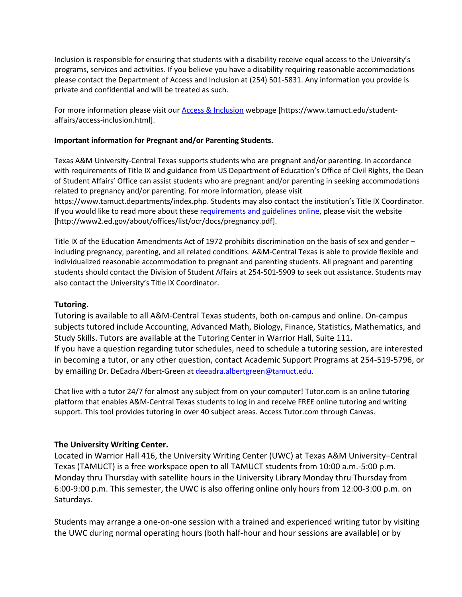Inclusion is responsible for ensuring that students with a disability receive equal access to the University's programs, services and activities. If you believe you have a disability requiring reasonable accommodations please contact the Department of Access and Inclusion at (254) 501-5831. Any information you provide is private and confidential and will be treated as such.

For more information please visit our [Access & Inclusion](https://www.tamuct.edu/student-affairs/access-inclusion.html) webpage [https://www.tamuct.edu/studentaffairs/access-inclusion.html].

#### **Important information for Pregnant and/or Parenting Students.**

Texas A&M University-Central Texas supports students who are pregnant and/or parenting. In accordance with requirements of Title IX and guidance from US Department of Education's Office of Civil Rights, the Dean of Student Affairs' Office can assist students who are pregnant and/or parenting in seeking accommodations related to pregnancy and/or parenting. For more information, please visit https://www.tamuct.departments/index.php. Students may also contact the institution's Title IX Coordinator. If you would like to read more about these [requirements and guidelines](http://www2.ed.gov/about/offices/list/ocr/docs/pregnancy.pdf) online, please visit the website [http://www2.ed.gov/about/offices/list/ocr/docs/pregnancy.pdf].

Title IX of the Education Amendments Act of 1972 prohibits discrimination on the basis of sex and gender – including pregnancy, parenting, and all related conditions. A&M-Central Texas is able to provide flexible and individualized reasonable accommodation to pregnant and parenting students. All pregnant and parenting students should contact the Division of Student Affairs at 254-501-5909 to seek out assistance. Students may also contact the University's Title IX Coordinator.

#### **Tutoring.**

Tutoring is available to all A&M-Central Texas students, both on-campus and online. On-campus subjects tutored include Accounting, Advanced Math, Biology, Finance, Statistics, Mathematics, and Study Skills. Tutors are available at the Tutoring Center in Warrior Hall, Suite 111. If you have a question regarding tutor schedules, need to schedule a tutoring session, are interested in becoming a tutor, or any other question, contact Academic Support Programs at 254-519-5796, or by emailing Dr. DeEadra Albert-Green at [deeadra.albertgreen@tamuct.edu.](mailto:deeadra.albertgreen@tamuct.edu)

Chat live with a tutor 24/7 for almost any subject from on your computer! Tutor.com is an online tutoring platform that enables A&M-Central Texas students to log in and receive FREE online tutoring and writing support. This tool provides tutoring in over 40 subject areas. Access Tutor.com through Canvas.

#### **The University Writing Center.**

Located in Warrior Hall 416, the University Writing Center (UWC) at Texas A&M University–Central Texas (TAMUCT) is a free workspace open to all TAMUCT students from 10:00 a.m.-5:00 p.m. Monday thru Thursday with satellite hours in the University Library Monday thru Thursday from 6:00-9:00 p.m. This semester, the UWC is also offering online only hours from 12:00-3:00 p.m. on Saturdays.

Students may arrange a one-on-one session with a trained and experienced writing tutor by visiting the UWC during normal operating hours (both half-hour and hour sessions are available) or by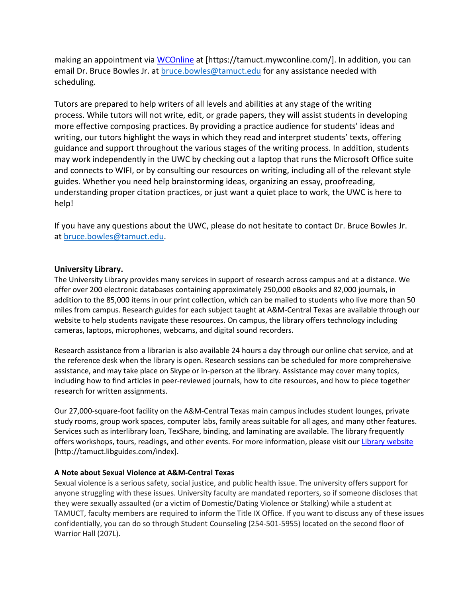making an appointment via [WCOnline](https://tamuct.mywconline.com/) at [https://tamuct.mywconline.com/]. In addition, you can email Dr. Bruce Bowles Jr. at [bruce.bowles@tamuct.edu](mailto:bruce.bowles@tamuct.edu) for any assistance needed with scheduling.

Tutors are prepared to help writers of all levels and abilities at any stage of the writing process. While tutors will not write, edit, or grade papers, they will assist students in developing more effective composing practices. By providing a practice audience for students' ideas and writing, our tutors highlight the ways in which they read and interpret students' texts, offering guidance and support throughout the various stages of the writing process. In addition, students may work independently in the UWC by checking out a laptop that runs the Microsoft Office suite and connects to WIFI, or by consulting our resources on writing, including all of the relevant style guides. Whether you need help brainstorming ideas, organizing an essay, proofreading, understanding proper citation practices, or just want a quiet place to work, the UWC is here to help!

If you have any questions about the UWC, please do not hesitate to contact Dr. Bruce Bowles Jr. at [bruce.bowles@tamuct.edu.](mailto:bruce.bowles@tamuct.edu)

#### **University Library.**

The University Library provides many services in support of research across campus and at a distance. We offer over 200 electronic databases containing approximately 250,000 eBooks and 82,000 journals, in addition to the 85,000 items in our print collection, which can be mailed to students who live more than 50 miles from campus. Research guides for each subject taught at A&M-Central Texas are available through our website to help students navigate these resources. On campus, the library offers technology including cameras, laptops, microphones, webcams, and digital sound recorders.

Research assistance from a librarian is also available 24 hours a day through our online chat service, and at the reference desk when the library is open. Research sessions can be scheduled for more comprehensive assistance, and may take place on Skype or in-person at the library. Assistance may cover many topics, including how to find articles in peer-reviewed journals, how to cite resources, and how to piece together research for written assignments.

Our 27,000-square-foot facility on the A&M-Central Texas main campus includes student lounges, private study rooms, group work spaces, computer labs, family areas suitable for all ages, and many other features. Services such as interlibrary loan, TexShare, binding, and laminating are available. The library frequently offers workshops, tours, readings, and other events. For more information, please visit our [Library website](https://tamuct.libguides.com/index) [http://tamuct.libguides.com/index].

#### **A Note about Sexual Violence at A&M-Central Texas**

Sexual violence is a serious safety, social justice, and public health issue. The university offers support for anyone struggling with these issues. University faculty are mandated reporters, so if someone discloses that they were sexually assaulted (or a victim of Domestic/Dating Violence or Stalking) while a student at TAMUCT, faculty members are required to inform the Title IX Office. If you want to discuss any of these issues confidentially, you can do so through Student Counseling (254-501-5955) located on the second floor of Warrior Hall (207L).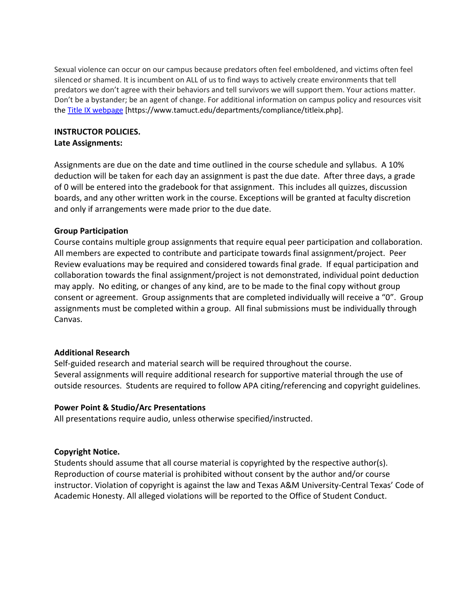Sexual violence can occur on our campus because predators often feel emboldened, and victims often feel silenced or shamed. It is incumbent on ALL of us to find ways to actively create environments that tell predators we don't agree with their behaviors and tell survivors we will support them. Your actions matter. Don't be a bystander; be an agent of change. For additional information on campus policy and resources visit the [Title IX webpage](https://www.tamuct.edu/departments/compliance/titleix.php) [https://www.tamuct.edu/departments/compliance/titleix.php].

# **INSTRUCTOR POLICIES.**

**Late Assignments:**

Assignments are due on the date and time outlined in the course schedule and syllabus. A 10% deduction will be taken for each day an assignment is past the due date. After three days, a grade of 0 will be entered into the gradebook for that assignment. This includes all quizzes, discussion boards, and any other written work in the course. Exceptions will be granted at faculty discretion and only if arrangements were made prior to the due date.

## **Group Participation**

Course contains multiple group assignments that require equal peer participation and collaboration. All members are expected to contribute and participate towards final assignment/project. Peer Review evaluations may be required and considered towards final grade. If equal participation and collaboration towards the final assignment/project is not demonstrated, individual point deduction may apply. No editing, or changes of any kind, are to be made to the final copy without group consent or agreement. Group assignments that are completed individually will receive a "0". Group assignments must be completed within a group. All final submissions must be individually through Canvas.

# **Additional Research**

Self-guided research and material search will be required throughout the course. Several assignments will require additional research for supportive material through the use of outside resources. Students are required to follow APA citing/referencing and copyright guidelines.

# **Power Point & Studio/Arc Presentations**

All presentations require audio, unless otherwise specified/instructed.

# **Copyright Notice.**

Students should assume that all course material is copyrighted by the respective author(s). Reproduction of course material is prohibited without consent by the author and/or course instructor. Violation of copyright is against the law and Texas A&M University-Central Texas' Code of Academic Honesty. All alleged violations will be reported to the Office of Student Conduct.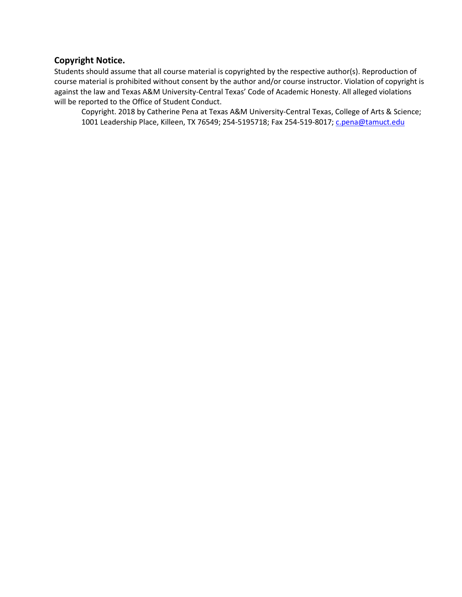# **Copyright Notice.**

Students should assume that all course material is copyrighted by the respective author(s). Reproduction of course material is prohibited without consent by the author and/or course instructor. Violation of copyright is against the law and Texas A&M University-Central Texas' Code of Academic Honesty. All alleged violations will be reported to the Office of Student Conduct.

Copyright. 2018 by Catherine Pena at Texas A&M University-Central Texas, College of Arts & Science; 1001 Leadership Place, Killeen, TX 76549; 254-5195718; Fax 254-519-8017; *c.pena@tamuct.edu*